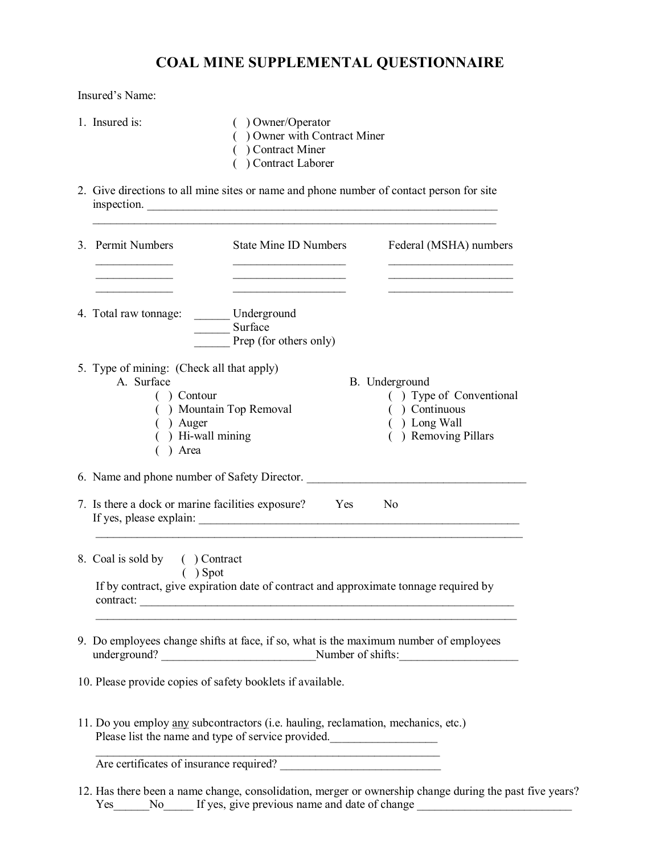## **COAL MINE SUPPLEMENTAL QUESTIONNAIRE**

Insured's Name:

- 1. Insured is: ( ) Owner/Operator
	-
	- ( ) Owner with Contract Miner
	- ( ) Contract Miner
	- ( ) Contract Laborer
- 2. Give directions to all mine sites or name and phone number of contact person for site inspection.

| 3. Permit Numbers<br><b>State Mine ID Numbers</b><br>Federal (MSHA) numbers<br>Underground<br>4. Total raw tonnage:<br>Surface<br>Prep (for others only)<br>5. Type of mining: (Check all that apply)<br>A. Surface<br>B. Underground<br>$( )$ Contour<br>() Mountain Top Removal<br>( ) Continuous<br>$( )$ Long Wall<br>) Auger<br>) Hi-wall mining<br>) Removing Pillars<br>Area<br>6. Name and phone number of Safety Director.<br>7. Is there a dock or marine facilities exposure? Yes<br>N <sub>0</sub><br>8. Coal is sold by () Contract<br>$( )$ Spot<br>If by contract, give expiration date of contract and approximate tonnage required by<br>contract:<br>9. Do employees change shifts at face, if so, what is the maximum number of employees<br>underground? Number of shifts:<br>10. Please provide copies of safety booklets if available.<br>11. Do you employ any subcontractors (i.e. hauling, reclamation, mechanics, etc.)<br>Please list the name and type of service provided.<br>Are certificates of insurance required? |  |                         |
|----------------------------------------------------------------------------------------------------------------------------------------------------------------------------------------------------------------------------------------------------------------------------------------------------------------------------------------------------------------------------------------------------------------------------------------------------------------------------------------------------------------------------------------------------------------------------------------------------------------------------------------------------------------------------------------------------------------------------------------------------------------------------------------------------------------------------------------------------------------------------------------------------------------------------------------------------------------------------------------------------------------------------------------------------|--|-------------------------|
|                                                                                                                                                                                                                                                                                                                                                                                                                                                                                                                                                                                                                                                                                                                                                                                                                                                                                                                                                                                                                                                    |  |                         |
|                                                                                                                                                                                                                                                                                                                                                                                                                                                                                                                                                                                                                                                                                                                                                                                                                                                                                                                                                                                                                                                    |  |                         |
|                                                                                                                                                                                                                                                                                                                                                                                                                                                                                                                                                                                                                                                                                                                                                                                                                                                                                                                                                                                                                                                    |  |                         |
|                                                                                                                                                                                                                                                                                                                                                                                                                                                                                                                                                                                                                                                                                                                                                                                                                                                                                                                                                                                                                                                    |  |                         |
|                                                                                                                                                                                                                                                                                                                                                                                                                                                                                                                                                                                                                                                                                                                                                                                                                                                                                                                                                                                                                                                    |  | () Type of Conventional |
|                                                                                                                                                                                                                                                                                                                                                                                                                                                                                                                                                                                                                                                                                                                                                                                                                                                                                                                                                                                                                                                    |  |                         |
|                                                                                                                                                                                                                                                                                                                                                                                                                                                                                                                                                                                                                                                                                                                                                                                                                                                                                                                                                                                                                                                    |  |                         |
|                                                                                                                                                                                                                                                                                                                                                                                                                                                                                                                                                                                                                                                                                                                                                                                                                                                                                                                                                                                                                                                    |  |                         |
|                                                                                                                                                                                                                                                                                                                                                                                                                                                                                                                                                                                                                                                                                                                                                                                                                                                                                                                                                                                                                                                    |  |                         |
|                                                                                                                                                                                                                                                                                                                                                                                                                                                                                                                                                                                                                                                                                                                                                                                                                                                                                                                                                                                                                                                    |  |                         |
|                                                                                                                                                                                                                                                                                                                                                                                                                                                                                                                                                                                                                                                                                                                                                                                                                                                                                                                                                                                                                                                    |  |                         |
|                                                                                                                                                                                                                                                                                                                                                                                                                                                                                                                                                                                                                                                                                                                                                                                                                                                                                                                                                                                                                                                    |  |                         |

12. Has there been a name change, consolidation, merger or ownership change during the past five years? Yes\_\_\_\_\_\_No\_\_\_\_\_ If yes, give previous name and date of change